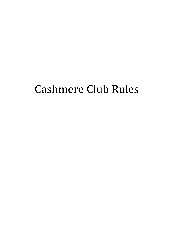# Cashmere Club Rules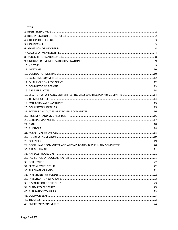| 17. ELECTION OF OFFICERS, COMMITTEE, TRUSTEES AND DISCIPLINARY COMMITTEE: 14 |  |
|------------------------------------------------------------------------------|--|
|                                                                              |  |
|                                                                              |  |
|                                                                              |  |
|                                                                              |  |
|                                                                              |  |
|                                                                              |  |
|                                                                              |  |
|                                                                              |  |
|                                                                              |  |
|                                                                              |  |
|                                                                              |  |
|                                                                              |  |
|                                                                              |  |
|                                                                              |  |
|                                                                              |  |
|                                                                              |  |
|                                                                              |  |
|                                                                              |  |
|                                                                              |  |
|                                                                              |  |
|                                                                              |  |
|                                                                              |  |
|                                                                              |  |
|                                                                              |  |
|                                                                              |  |
|                                                                              |  |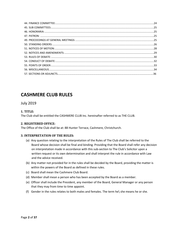# **CASHMERE CLUB RULES**

# July 2019

# <span id="page-2-0"></span>**1. TITLE:**

The Club shall be entitled the CASHMERE CLUB Inc. hereinafter referred to as THE CLUB.

# <span id="page-2-1"></span>**2. REGISTERED OFFICE:**

The Office of the Club shall be at: 88 Hunter Terrace, Cashmere, Christchurch.

# <span id="page-2-2"></span>**3. INTERPRETATION OF THE RULES:**

- (a) Any question relating to the interpretation of the Rules of The Club shall be referred to the Board whose decision shall be final and binding. Providing that the Board shall refer any decision on interpretation made in accordance with this sub-section to The Club's Solicitor upon a written request or its own determination and shall interpret the rule in accordance with Law and the advice received.
- (b) Any matter not provided for in the rules shall be decided by the Board, providing the matter is within the powers of the Board as defined in these rules.
- (c) Board shall mean the Cashmere Club Board.
- (d) Member shall mean a person who has been accepted by the Board as a member.
- (e) Officer shall include the President, any member of the Board, General Manager or any person that they may from time to time appoint.
- (f) Gender in the rules relates to both males and females. The term he\ she means he or she.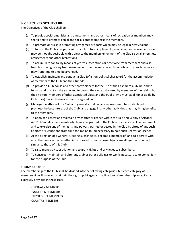# <span id="page-3-0"></span>**4. OBJECTIVES OF THE CLUB:**

The Objectives of the Club shall be;

- (a) To provide social amenities and amusements and other means of recreation as members may see fit and to promote genial and social contact amongst the members.
- (b) To promote or assist in promoting any games or sports which may be legal in New Zealand.
- (c) To furnish the Club's property with such furniture, implements, machinery and conveniences as may be thought desirable with a view to the members enjoyment of the Club's Social amenities, amusements and other recreations.
- (d) To accumulate capital by means of yearly subscriptions or otherwise from members and also from borrowing money from members or other persons on such security and on such terms as may from time to time be arranged.
- (e) To establish, maintain and conduct a Club (of a non-political character) for the accommodation of members of the Club and their friends.
- (f) To provide a Club house and other conveniences for the use of the Cashmere Club Inc. and to furnish and maintain the same and to permit the same to be used by members of the said club, their visitors, members of other associated Clubs and the Public (who must at all times abide by Club rules), on such terms as shall be agreed on.
- (g) Manage the affairs of the Club and generally to do whatever may seem best calculated to promote the best interest of the Club, and engage in any other activities that may bring benefits to the members.
- (h) To apply for, renew and maintain any charter or licence within the Sale and Supply of Alcohol Act 2012and its amendments which may be granted to the Club in pursuance of its amendments and to exercise any of the rights and powers granted or vested in the Club by virtue of any such Charter or Licence and from time to time be found necessary to hold such Charter or Licence.
- (i) At the direction of a General Meeting subscribe to, become a member of, and co-operate with any other association, whether incorporated or not, whose objects are altogether or in part similar to those of this Club.
- (j) To raise money by subscription and to grant rights and privileges to subscribers.
- (k) To construct, maintain and alter any Club or other buildings or works necessary to or convenient for the purpose of the Club.

#### <span id="page-3-1"></span>**5. MEMBERSHIP:**

The membership of the Club shall be divided into the following categories, but each category of membership will have and maintain the rights, privileges and obligations of membership except as is expressly provided in these rules.

ORDINARY MEMBERS. FULLY PAID MEMBERS. ELECTED LIFE MEMBERS. COUNTRY MEMBERS.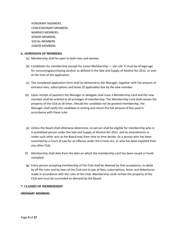HONORARY MEMBERS. CONCESSIONARY MEMBERS. MARRIED MEMBERS. SENIOR MEMBERS. SOCIAL MEMBERS. JUNIOR MEMBERS.

# <span id="page-4-0"></span>**6. ADMISSION OF MEMBERS:**

- (a) Membership shall be open to both men and women.
- (b) Candidates for membership (except for Junior Membership see rule 7) must be of legal age for consuming/purchasing alcohol, as defined in the Sale and Supply of Alcohol Act 2012, or over at the time of the application.
- (c) The completed application form shall be delivered to the Manager, together with the amount of entrance fees, subscriptions and levies (if applicable) due by the new member.
- (d) Upon receipt of payment the Manager or delegate shall issue a Membership Card and the new member shall be entitled to all privileges of membership. The Membership Card shall remain the property of the Club at all times. Should the candidate not be granted membership, the Manager shall notify the candidate in writing and return the full amount of fees paid in accordance with these rules
- (e) Unless the Board shall otherwise determine, no person shall be eligible for membership who is; A prohibited person under the Sale and Supply of Alcohol Act 2012. and its amendments or under such other acts as the Board may from time to time decide. Or a person who has been convicted by a Court of Law for an offence under the Crimes Act, or who has been expelled from any other Club.
- (f) Membership shall date from the date on which the membership card has been issued or funds receipted.
- (g) Every person accepting membership of the Club shall be deemed by that acceptance, to abide by all the rules and by-laws of the Club and to pay all fees, subscriptions, levies and debentures made in accordance with the rules of the Club. Membership cards remain the property of the Club and must be surrended on demand by the Board.

#### <span id="page-4-1"></span>**7. CLASSES OF MEMBERSHIP:**

#### **ORDINARY MEMBERS**: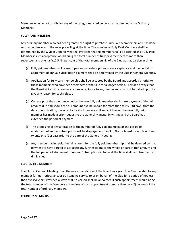Members who do not qualify for any of the categories listed below shall be deemed to be Ordinary Members.

#### **FULLY PAID MEMBERS:**

Any ordinary member who has been granted the right to purchase Fully Paid Membership and has done so in accordance with the rules prevailing at the time. The number of Fully Paid Members shall be determined by the Club in General Meeting. Provided that no member shall be accepted as a Fully Paid Member if such acceptance would bring the total number of fully paid members to more than seventeen and one half (17.5 % ) per cent of the total membership of the Club at that particular time.

- (a) Fully paid members will cease to pay annual subscriptions upon acceptance and the period of abatement of annual subscription payment shall be determined by the Club in General Meeting.
- (b) Application for fully paid membership shall be accepted by the Board and accorded priority to those members who have been members of the Club for a longer period. Provided always that the Board at its discretion may refuse acceptance to any person and shall not be called upon to give any reason for such refusal.
- (c) On receipt of the acceptance notice the new fully paid member shall make payment of the full amount due and should the full amount due be unpaid for more than thirty (30) days, from the date of notification, the acceptance shall become null and void unless the new fully paid member has made a prior request to the General Manager in writing and the Board has extended the period of payment.
- (d) The proposing of any alteration to the number of fully paid members or the period of abatement of annual subscriptions will be displayed on the Club Notice board for not less than twenty one (21) days prior to the date of the General Meeting.
- (e) Any member having paid the full amount for the fully paid membership shall be deemed by that payment to have agreed to abrogate any further claims to the whole or part of that amount and the full period of abatement of Annual Subscriptions in force at the time shall be subsequently diminished.

#### **ELECTED LIFE MEMBER**:

The Club in General Meeting upon the recommendation of the Board may grant Life Membership to any member for meritorious and/or outstanding service to or on behalf of the Club for a period of not less than five (5) years. Provided always that no person shall be appointed if such appointment would bring the total number of Life Members at the time of such appointment to more than two (2) percent of the total number of ordinary members.

#### **COUNTRY MEMBERS**: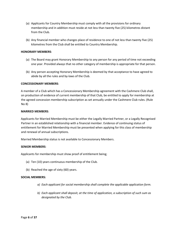- (a) Applicants for Country Membership must comply with all the provisions for ordinary membership and in addition must reside at not less than twenty five (25) kilometres distant from the Club.
- (b) Any financial member who changes place of residence to one of not less than twenty five (25) kilometres from the Club shall be entitled to Country Membership.

#### **HONORARY MEMBERS**:

- (a) The Board may grant Honorary Membership to any person for any period of time not exceeding one year. Provided always that no other category of membership is appropriate for that person.
- (b) Any person accepting Honorary Membership is deemed by that acceptance to have agreed to abide by all the rules and by-laws of the Club.

#### **CONCESSIONARY MEMBERS**:

A member of a Club which has a Concessionary Membership agreement with the Cashmere Club shall, on production of evidence of current membership of that Club, be entitled to apply for membership at the agreed concession membership subscription as set annually under the Cashmere Club rules. (Rule No 8)

#### **MARRIED MEMBERS**:

Applicants for Married Membership must be either the Legally Married Partner, or a Legally Recognised Partner in an established relationship with a financial member. Evidence of continuing status of entitlement for Married Membership must be presented when applying for this class of membership and renewal of annual subscriptions.

Married Membership status is not available to Concessionary Members.

#### **SENIOR MEMBERS**:

Applicants for membership must show proof of entitlement being;

- (a) Ten (10) years continuous membership of the Club.
- (b) Reached the age of sixty (60) years.

#### **SOCIAL MEMBERS:**

- *a) Each applicant for social membership shall complete the applicable application form.*
- *b) Each applicant shall deposit, at the time of application, a subscription of such sum as designated by the Club.*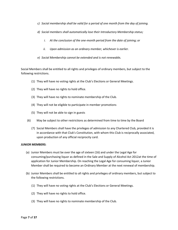- *c) Social membership shall be valid for a period of one month from the day of joining.*
- *d) Social members shall automatically lose their Introductory Membership status;*
	- *i. At the conclusion of the one-month period from the date of joining; or*
	- *ii. Upon admission as an ordinary member, whichever is earlier.*
- *e) Social Membership cannot be extended and is not renewable.*

Social Members shall be entitled to all rights and privileges of ordinary members, but subject to the following restrictions.

- (1) They will have no voting rights at the Club's Elections or General Meetings.
- (2) They will have no rights to hold office.
- (3) They will have no rights to nominate membership of the Club.
- (4) They will not be eligible to participate in member promotions
- (5) They will not be able to sign in guests
- (6) May be subject to other restrictions as determined from time to time by the Board
	- (7) Social Members shall have the privileges of admission to any Chartered Club, provided it is in accordance with that Club's Constitution, with whom this Club is reciprocally associated, upon production of any official reciprocity card.

#### **JUNIOR MEMBERS**:

- (a) Junior Members must be over the age of sixteen (16) and under the Legal Age for consuming/purchasing liquor as defined in the Sale and Supply of Alcohol Act 2012at the time of application for Junior Membership. On reaching the Legal Age for consuming liquor, a Junior Member shall be required to become an Ordinary Member at the next renewal of membership.
- (b) Junior Members shall be entitled to all rights and privileges of ordinary members, but subject to the following restrictions.
	- (1) They will have no voting rights at the Club's Elections or General Meetings.
	- (2) They will have no rights to hold office.
	- (3) They will have no rights to nominate membership of the Club.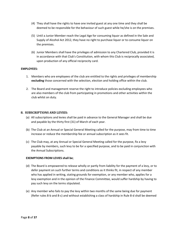- (4) They shall have the rights to have one invited guest at any one time and they shall be deemed to be responsible for the behaviour of such guest while he/she is on the premises.
- (5) Until a Junior Member reach the Legal Age for consuming liquor as defined in the Sale and Supply of Alcohol Act 2012, they have no right to purchase liquor or to consume liquor on the premises.
- (6) Junior Members shall have the privileges of admission to any Chartered Club, provided it is in accordance with that Club's Constitution, with whom this Club is reciprocally associated, upon production of any official reciprocity card.

#### **EMPLOYEES:**

- 1. Members who are employees of the club are entitled to the rights and privileges of membership **excluding** those concerned with the selection, election and holding office within the club.
- 2. The Board and management reserve the right to introduce policies excluding employees who are also members of the club from participating in promotions and other activities within the club whilst on duty.

#### <span id="page-8-0"></span>**8. SUBSCRIPTIONS AND LEVIES:**

- (a) All subscriptions and levies shall be paid in advance to the General Manager and shall be due and payable by the thirty first (31) of March of each year.
- (b) The Club at an Annual or Special General Meeting called for the purpose, may from time to time increase or reduce the membership fee or annual subscription as it sees fit.
- (c) The Club may, at any Annual or Special General Meeting called for the purpose, fix a levy payable by members, such levy to be for a specified purpose, and to be paid in conjunction with the Annual Subscriptions.

#### **EXEMPTIONS FROM LEVIES shall be**;

- (d) The Board is empowered to release wholly or partly from liability for the payment of a levy, or to defer payment on such further terms and conditions as it thinks fit, in respect of any member who has applied in writing, stating grounds for exemption, or any member who, applies for a levy exemption and in the opinion of the Finance Committee, would suffer hardship by having to pay such levy on the terms stipulated.
- (e) Any member who fails to pay the levy within two months of the same being due for payment (Refer rules 8-b and 8-c) and without establishing a class of hardship in Rule 8-d shall be deemed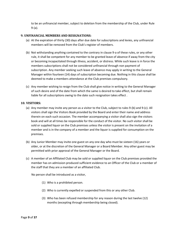to be an unfinancial member, subject to deletion from the membership of the Club, under Rule 9-(a).

#### <span id="page-9-0"></span>**9. UNFINANCIAL MEMBERS AND RESIGNATIONS:**

- (a) At the expiration of thirty (30) days after due date for subscriptions and levies, any unfinancial members will be removed from the Club's register of members.
- (b) Not withstanding anything contained to the contrary in clause 9-a of these rules, or any other rule, it shall be competent for any member to be granted leave of absence if away from the city or becoming incapacitated through illness, accident, or distress. While such leave is in force the members subscriptions shall not be considered unfinancial through non payment of subscription. Any member seeking such leave of absence may apply in writing to the General Manager within fourteen (14) days of subscription becoming due. Nothing in this clause shall be deemed to make a members attendance at the Club premises compulsory.
- (c) Any member wishing to resign from the Club shall give notice in writing to the General Manager of such desire and of the date from which the same is desired to take effect, but shall remain liable for all subscriptions owing to the date such resignation takes effect .

#### <span id="page-9-1"></span>**10. VISITORS:**

- (a) Any member may invite any person as a visitor to the Club, subject to rules 9-(b) and 9-(c). All visitors shall sign the Visitors Book provided by the Board and enter their name and address therein on each such occasion. The member accompanying a visitor shall also sign the visitors book and will at all times be responsible for the conduct of the visitor. No such visitor shall be sold or supplied liquor on the Club premises unless the visitor is present on the invitation of a member and is in the company of a member and the liquor is supplied for consumption on the premises.
- (b) Any Junior Member may invite one guest on any one day who must be sixteen (16) years or older, or at the discretion of the General Manager or a Board Member. Any other guest may be permitted with prior approval of the General Manager or the Board.
- (c) A member of an Affiliated Club may be sold or supplied liquor on the Club premises provided the member has on admission produced sufficient evidence to an Officer of the Club or a member of the staff that they are a member of an affiliated Club.

No person shall be introduced as a visitor,

- (1) Who is a prohibited person.
- (2) Who is currently expelled or suspended from this or any other Club.
- (3) Who has been refused membership for any reason during the last twelve (12) months (excepting through membership being closed).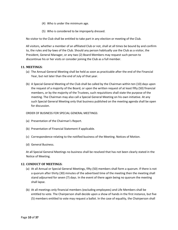- (4) Who is under the minimum age.
- (5) Who is considered to be improperly dressed.

No visitor to the Club shall be entitled to take part in any election or meeting of the Club.

All visitors, whether a member of an affiliated Club or not, shall at all times be bound by and confirm to, the rules and by-laws of the Club. Should any person habitually use the Club as a visitor, the President, General Manager, or any two (2) Board Members may request such person to discontinue his or her visits or consider joining the Club as a full member.

#### <span id="page-10-0"></span>**11. MEETINGS:**

- (a) The Annual General Meeting shall be held as soon as practicable after the end of the Financial Year, but not later than the end of July of that year.
- (b) A Special General Meeting of the Club shall be called by the Chairman within ten (10) days upon the request of a majority of the Board, or upon the written request of at least fifty (50) financial members, or by the majority of the Trustees, such requisitions shall state the purpose of the meeting. The Chairman may also call a Special General Meeting on his own initiative. At any such Special General Meeting only that business published on the meeting agenda shall be open for discussion.

#### ORDER OF BUSINESS FOR SPECIAL GENERAL MEETINGS:

- (a) Presentation of the Chairman's Report.
- (b) Presentation of Financial Statement if applicable.
- (c) Correspondence relating to the notified business of the Meeting. Notices of Motion.
- (d) General Business.

At all Special General Meetings no business shall be resolved that has not been clearly stated in the Notice of Meeting.

#### <span id="page-10-1"></span>**12. CONDUCT OF MEETINGS:**

- (a) At all Annual or Special General Meetings, fifty (50) members shall form a quorum. If there is not a quorum after thirty (30) minutes of the advertised time of the meeting then the meeting shall stand adjourned for seven (7) days. In the event of there again being no quorum the meeting shall lapse.
- (b) At all meetings only financial members (excluding employees) and Life Members shall be entitled to vote. The Chairperson shall decide upon a show of hands in the first instance, but five (5) members entitled to vote may request a ballot. In the case of equality, the Chairperson shall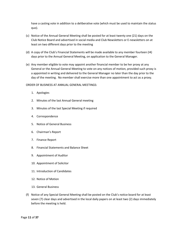have a casting vote in addition to a deliberative vote (which must be used to maintain the status quo).

- (c) Notice of the Annual General Meeting shall be posted for at least twenty one (21) days on the Club Notice Board and advertised in social media and Club Newsletters or E-newsletters on at least on two different days prior to the meeting
- (d) A copy of the Club's Financial Statements will be made available to any member fourteen (I4) days prior to the Annual General Meeting, on application to the General Manager.
- (e) Any member eligible to vote may appoint another financial member to be her proxy at any General or the Annual General Meeting to vote on any notices of motion, provided such proxy is a appointed in writing and delivered to the General Manager no later than the day prior to the day of the meeting. No member shall exercise more than one appointment to act as a proxy.

ORDER OF BUSINESS AT ANNUAL GENERAL MEETINGS:

- 1. Apologies
- 2. Minutes of the last Annual General meeting
- 3. Minutes of the last Special Meeting if required
- 4. Correspondence
- 5. Notice of General Business
- 6. Chairman's Report
- 7. Finance Report
- 8. Financial Statements and Balance Sheet
- 9. Appointment of Auditor
- 10. Appointment of Solicitor
- 11. Introduction of Candidates
- 12. Notice of Motion
- 13. General Business
- (f) Notice of any Special General Meeting shall be posted on the Club's notice board for at least seven (7) clear days and advertised in the local daily papers on at least two (2) days immediately before the meeting is held.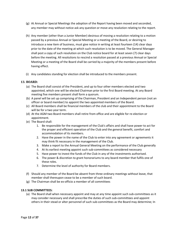- (g) At Annual or Special Meetings the adoption of the Report having been moved and seconded, any member may without notice ask any question or move any resolution relating to the report.
- (h) Any member (other than a Junior Member) desirous of moving a resolution relating to a motion passed by a previous Annual or Special Meeting or a meeting of the Board, or desiring to introduce a new item of business, must give notice in writing at least fourteen (14) clear days prior to the date of the meeting at which such resolution is to be moved. The General Manager shall post a copy of such resolution on the Club notice board for at least seven (7) clear days before the meeting. All resolutions to rescind a resolution passed at a previous Annual or Special Meeting or a meeting of the Board shall be carried by a majority of the members present before having effect.
- (i) Any candidates standing for election shall be introduced to the members present.

#### <span id="page-12-1"></span><span id="page-12-0"></span>**13. BOARD:**

- (a) The Board shall consist of the President, and up to four other members elected and two appointed, which one will be elected Chairman prior to the first Board meeting. At any Board meeting five members present shall form a quorum.
- (b) A panel will be set up comprising of the Chairman, President and an Independent person (not an officer or board member) to appoint the two appointed members of the Board.
- (c) All Board members shall be financial members of the club and their appointment to the Board will be for a two year term.
- (d) At the AGM two Board members shall retire from office and are eligible for re-election or appointment.
- (e) The Board shall:
	- 1. Be responsible for the management of the Club's affairs and shall have power to act for the proper and efficient operation of the Club and the general benefit, comfort and accommodation of its members.
	- 2. Have the power in the name of the Club to enter into any agreement or agreements it may think fit necessary in the management of the Club.
	- 3. Make a report to the Annual General Meeting on the performance of the Club generally
	- 4. At its earliest meeting appoint such sub-committees as considered necessary
	- 5. Have power to invest the funds of the Club in any of the investments authorised.
	- 6. The power & discretion to grant honorariums to any board member that fulfils one of these roles.
	- 7. Determine the level of authority for Board members.
- (f) Should any member of the Board be absent from three ordinary meetings without leave, that member shall thereupon cease to be a member of such board.
- (g) The Chairman shall be ex-officio a member of all committees

#### **13.1 SUB COMMITTEES:**

(a) The Board shall when necessary appoint and may at any time appoint such sub-committees as it may consider necessary and shall prescribe the duties of such sub-committees and appoint others in their stead or alter personnel of such sub-committees as the Board may determine; In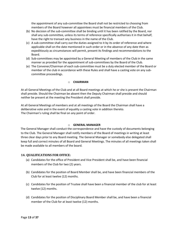the appointment of any sub-committee the Board shall not be restricted to choosing from members of the Board however all appointees must be financial members of the Club.

- (b) No decision of the sub-committee shall be binding until it has been ratified by the Board, nor shall any sub-committee, unless its terms of reference specifically authorises it in that behalf, have the right to transact any business in the name of the Club.
- (c) A sub-committee shall carry out the duties assigned to it by its order of reference and where applicable shall on the date mentioned in such order or in the absence of any date then as expeditiously as circumstances will permit, present its findings and recommendations to the Board.
- (d) Sub-committees may be appointed by a General Meeting of members of the Club in the same manner as provided for the appointment of sub-committees by the Board of the Club.
- (e) The Convener/Chairman of each sub-committee must be a duly elected member of the Board or member of the club in accordance with these Rules and shall have a casting vote on any subcommittee proceedings.

#### o **CHAIRMAN**

At all General Meetings of the Club and at all Board meetings at which he or she is present the Chairman shall preside. Should the Chairman be absent then the Deputy Chairman shall preside and should neither be present at the meeting the President shall preside.

At all General Meetings of members and at all meetings of the Board the Chairman shall have a deliberative vote and in the event of equality a casting vote in addition thereto. The Chairman's ruling shall be final on any point of order.

#### o **GENERAL MANAGER**

The General Manager shall conduct the correspondence and have the custody of documents belonging to the Club. The General Manager shall notify members of the Board of meetings in writing at least three clear days prior to any Board meeting. The General Manager or somebody else delegated shall keep full and correct minutes of all Board and General Meetings. The minutes of all meetings taken shall be made available to all members of the board.

#### <span id="page-13-0"></span>**14. QUALIFICATIONS FOR OFFICE:**

- (a) Candidates for the office of President and Vice President shall be, and have been financial members of the Club for two (2) years.
- (b) Candidates for the position of Board Member shall be, and have been financial members of the Club for at least twelve (12) months.
- (c) Candidates for the position of Trustee shall have been a financial member of the club for at least twelve (12) months.
- (d) Candidates for the position of Disciplinary Board Member shall be, and have been a financial member of the Club for at least twelve (12) months.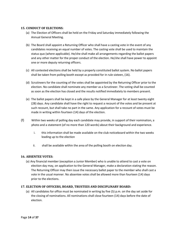# <span id="page-14-0"></span>**15. CONDUCT OF ELECTIONS:**

- (a) The Election of Officers shall be held on the Friday and Saturday immediately following the Annual General Meeting.
- (b) The Board shall appoint a Returning Officer who shall have a casting vote in the event of any candidates receiving an equal number of votes. The casting vote shall be used to maintain the status quo (where applicable). He/she shall make all arrangements regarding the ballot papers and any other matter for the proper conduct of the election. He/she shall have power to appoint one or more deputy returning officers.
- (c) All contested elections shall be held by a properly constituted ballot system. No ballot papers shall be taken from polling booth except as provided for in rule sixteen, (16).
- (d) Scrutineers for the counting of the votes shall be appointed by the Returning Officer prior to the election. No candidate shall nominate any member as a Scrutineer. The voting shall be counted as soon as the election has closed and the results notified immediately to members present.
- (e) The ballot papers shall be kept in a safe place by the General Manager for at least twenty eight (28) days. Any candidate shall have the right to request a recount of the votes and be present at such recount, but shall take no part in the same. Any application for a recount of votes must be made in writing within fourteen (14) days of the election.
- (f) Within two weeks of polling day each candidate may provide, in support of their nomination, a photo and a statement (of no more than 120 words) about their background and experience.
	- i. this information shall be made available on the club noticeboard within the two weeks leading up to the election
	- ii. shall be available within the area of the polling booth on election day.

# **16. ABSENTEE VOTES:**

(a) Any financial member (exception a Junior Member) who is unable to attend to cast a vote on election day may, on application to the General Manager, make a declaration stating the reason. The Returning Officer may then issue the necessary ballot paper to the member who shall cast a vote in the usual manner. No absentee votes shall be allowed more than fourteen (14) days prior to the elections.

# <span id="page-14-2"></span><span id="page-14-1"></span>**17. ELECTION OF OFFICERS, BOARD, TRUSTEES AND DISCIPLINARY BOARD:**

(a) All candidates for office must be nominated in writing by five (5) p.m. on the day set aside for the closing of nominations. All nominations shall close fourteen (14) days before the date of election.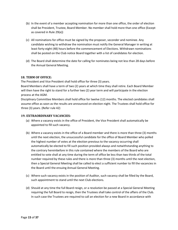- (b) In the event of a member accepting nomination for more than one office, the order of election shall be President, Trustee, Board Member. No member shall hold more than one office (Except as covered in Rule 29(e))
- (c) All nominations for office must be signed by the proposer, seconder and nominee. Any candidate wishing to withdraw the nomination must notify the General Manager in writing at least forty-eight (48) hours before the commencement of Elections. Withdrawn nominations shall be posted on the Club notice Board together with a list of candidates for election.
- (d) The Board shall determine the date for calling for nominates being not less than 28 days before the Annual General Meeting.

# **18. TERM OF OFFICE:**

<span id="page-15-0"></span>The President and Vice President shall hold office for three (3) years.

Board Members shall have a term of two (2) years at which time they shall retire. Each Board Member will then have the right to stand for a further two (2) year term and will participate in the election process at the AGM.

Disciplinary Committee Members shall hold office for twelve (12) months. The elected candidates shall assume office as soon as the results are announced on election night. The Trustees shall hold office for three (3) years. (Refer rule 42)

# <span id="page-15-1"></span>**19. EXTRAORDINARY VACANCIES:**

- (a) Where a vacancy exists in the office of President, the Vice President shall automatically be appointed to fill such vacancy.
- (b) Where a vacancy exists in the office of a Board member and there is more than three (3) months until the next election, the unsuccessful candidate for the office of Board Member who polled the highest number of votes at the election previous to the vacancy occurring shall automatically be elected to fill such position provided always and notwithstanding anything to the contrary hereinbefore in this rule contained where the members of the Board who are entitled to vote shall at any time during the term of office be less than two thirds of the total number required by these rules and there is more than three (3) months until the next election, then a Special General Meeting shall be called to elect a sufficient number to fill the vacancies in the Board until the ensuing Annual General Meeting.
- (c) Where such vacancy exists in the position of Auditor, such vacancy shall be filled by the Board, such appointment to stand until the next Club elections.
- (d) Should at any time the full Board resign, or a resolution be passed at a Special General Meeting requiring the full Board to resign, then the Trustees shall take control of the affairs of the Club. In such case the Trustees are required to call an election for a new Board in accordance with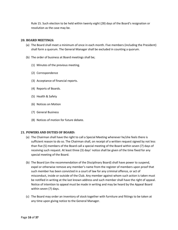Rule 15. Such election to be held within twenty eight (28) days of the Board's resignation or resolution as the case may be.

# <span id="page-16-0"></span>**20. BOARD MEETINGS:**

- (a) The Board shall meet a minimum of once in each month. Five members (including the President) shall form a quorum. The General Manager shall be excluded in counting a quorum.
- (b) The order of business at Board meetings shall be;
	- (1) Minutes of the previous meeting.
	- (2) Correspondence
	- (3) Acceptance of financial reports.
	- (4) Reports of Boards.
	- (5) Health & Safety
	- (6) Notices on Motion
	- (7) General Business
	- (8) Notices of motion for future debate.

#### <span id="page-16-1"></span>**21. POWERS AND DUTIES OF BOARD:**

- (a) The Chairman shall have the right to call a Special Meeting whenever he/she feels there is sufficient reason to do so. The Chairman shall, on receipt of a written request signed by not less than five (5) members of the Board call a special meeting of the Board within seven (7) days of receiving such request. At least three (3) days' notice shall be given of the time fixed for any special meeting of the Board.
- (b) The Board (on the recommendation of the Disciplinary Board) shall have power to suspend, expel or otherwise remove any member's name from the register of members upon proof that such member has been convicted in a court of law for any criminal offence, or act of misconduct, inside or outside of the Club. Any member against whom such action is taken must be notified in writing at the last known address and such member shall have the right of appeal. Notice of intention to appeal must be made in writing and may be heard by the Appeal Board within seven (7) days.
- (c) The Board may order an inventory of stock together with furniture and fittings to be taken at any time upon giving notice to the General Manager.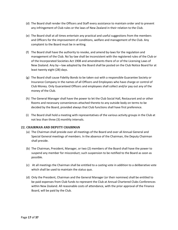- (d) The Board shall render the Officers and Staff every assistance to maintain order and to prevent any infringement of Club rules or the laws of New Zealand in their relation to the Club.
- (e) The Board shall at all times entertain any practical and useful suggestions from the members and Officers for the improvement of conditions, welfare and management of the Club. Any complaint to the Board must be in writing.
- (f) The Board shall have the authority to revoke, and amend by-laws for the regulation and management of the Club. No`by-law shall be inconsistent with the registered rules of the Club or of the Incorporated Societies Act 1908 and amendments there of or of the Licensing Laws of New Zealand. Any by—law adopted by the Board shall be posted on the Club Notice Board for at least twenty eight (28) days.
- (g) The Board shall cause Fidelity Bonds to be taken out with a responsible Guarantee Society or Insurance Company in the names of all Officers and Employees who have charge or control of Club Money. Only Guaranteed Officers and employees shall collect and/or pay out any of the money of the Club.
- (h) The General Manager shall have the power to let the Club Social Hall, Restaurant and or other Rooms and necessary conveniences attached thereto to any outside body on terms to be decided by the Board, provided always that Club functions shall have first preference.
- (i) The Board shall hold a meeting with representatives of the various activity groups in the Club at not less than three (3) monthly intervals.

# <span id="page-17-0"></span>**22. CHAIRMAN AND DEPUTY CHAIRMAN**

- (a) The Chairman shall preside over all meetings of the Board and over all Annual General and Special General meetings of members. In the absence of the Chairman, the Deputy Chairman shall preside.
- (b) The Chairman, President, Manager, or two (2) members of the Board shall have the power to suspend any member for misconduct; such suspension to be notified to the Board as soon as possible.
- (c) At all meetings the Chairman shall be entitled to a casting vote in addition to a deliberative vote which shall be used to maintain the status quo.
- (d) Only the President, Chairman and the General Manager (or their nominee) shall be entitled to be paid expenses from Club funds to represent the Club at Annual Chartered Clubs Conferences within New Zealand. All reasonable costs of attendance, with the prior approval of the Finance Board, will be paid by the Club.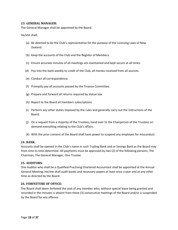# **23. GENERAL MANAGER:**

The General Manager shall be appointed by the Board.

He/she shall;

- (a) Be deemed to be the Club's representative for the purpose of the Licensing Laws of New Zealand.
- (b) Keep the accounts of the Club and the Register of Members.
- (c) Ensure accurate minutes of all meetings are maintained and kept secure at all times.
- (d) Pay into the bank weekly to credit of the Club, all monies received from all sources.
- (e) Conduct all correspondence.
- (f) Promptly pay all accounts passed by the Finance Committee.
- (g) Prepare and forward all returns required by statue law.
- (h) Report to the Board all members subscriptions
- (i) Perform any other duties imposed by the rules and generally carry out the instructions of the Board.
- (j) On a request from a majority of the Trustees, hand over to the Chairperson of the Trustees on demand everything relating to the Club's affairs.
- (k) With the prior consent of the Board shall have power to suspend any employee for misconduct.

#### <span id="page-18-0"></span>**24. BANK.**

Accounts shall be opened in the Club's name in such Trading Bank and or Savings Bank as the Board may from time to time determine. All payments must be approved by two (2) of the following persons; The Chairman, The General Manager, One Trustee.

#### <span id="page-18-1"></span>**25. AUDITORS:**

One Auditor who shall be a Qualified Practising Chartered Accountant shall be appointed at the Annual General Meeting. He/she shall audit books and necessary papers at least once a year and at any other time as directed by the Board.

#### <span id="page-18-2"></span>**26. FORFEITURE OF OFFICE:**

The Board shall deem forfeited the seat of any member who; without special leave being granted and recorded in the minutes is absent from three (3) consecutive meetings of the Board and/or is suspended by the Board for any offence.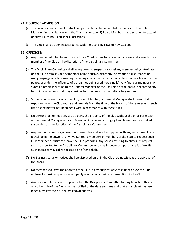# <span id="page-19-0"></span>**27. HOURS OF ADMISSION:**

- (a) The Social rooms of the Club shall be open on hours to be decided by the Board. The Duty Manager, in consultation with the Chairman or two (2) Board Members has discretion to extend or curtail such hours on special occasions.
- (b) The Club shall be open in accordance with the Licensing Laws of New Zealand.

# <span id="page-19-1"></span>**28. OFFENCES:**

- (a) Any member who has been convicted by a Court of Law for a criminal offence shall cease to be a member of the Club at the discretion of the Disciplinary Committee.
- (b) The Disciplinary Committee shall have power to suspend or expel any member being intoxicated on the Club premises or any member being abusive, disorderly, or creating a disturbance or using language which is insulting, or acting in any manner which is liable to cause a breach of the peace, or under the influence of a drug (not being used medicinally). Any financial member may submit a report in writing to the General Manager or the Chairman of the Board in regard to any behaviour or actions that they consider to have been of an unsatisfactory nature.
- (c) Suspension by an Officer of the Club, Board Member, or General Manager shall mean total expulsion from the Club rooms and grounds from the time of the breach of these rules until such time as the matter has been dealt with in accordance with these rules.
- (d) No person shall remove any article being the property of the Club without the prior permission of the General Manager or Board Member. Any person infringing this clause may be expelled or suspended at the discretion of the Disciplinary Committee.
- (e) Any person committing a breach of these rules shall not be supplied with any refreshments and it shall be in the power of any two (2) Board members or members of the Staff to request such Club Member or Visitor to leave the Club premises. Any person refusing to obey such request shall be reported to the Disciplinary Committee who may impose such penalty as it thinks fit. Such member may call witnesses on his/her behalf.
- (f) No Business cards or notices shall be displayed on or in the Club rooms without the approval of the Board.
- (g) No member shall give the address of the Club in any business advertisement or use the Club address for business purposes or openly conduct any business transactions in the Club.
- (h) Any person called upon to appear before the Disciplinary Committee for any breach to this or any other rule of the Club shall be notified of the date and time and that a complaint has been lodged, by letter to his/her last known address.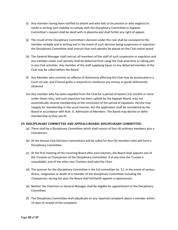- (i) Any member having been notified to attend and who fails to be present or who neglects to notify in writing such inability to comply with the Disciplinary Committee or Appeals Committee's request shall be dealt with in absentia and shall forfeit any right of appeal.
- (j) The result of the Disciplinary Committee's decision under this rule shall be conveyed to the member verbally and in writing and in the event of such decision being suspension or expulsion the Disciplinary Committee shall instruct that such penalty be placed on the Club notice board.
- (k) The General Manager shall instruct all members of the staff of such suspension or expulsion and any member under such penalty shall be debarred from using the Club amenities or taking part in any Club activities. Any member of the staff supplying liquor to any debarred member of the Club may be called before the Board.
- (l) Any Member who commits an offence of dishonesty affecting the Club may be prosecuted in a Court of Law, and if found guilty is required to reimburse any money or goods dishonestly obtained.
- (m) Any member who has been expelled from the Club for a period of twelve (12) months or more under these rules, and such expulsion has been upheld by the Appeals Board, may not automatically resume membership at the conclusion of the period of expulsion. He/she may reapply for membership in the usual manner, but the application shall be considered by the Board in accordance with Rule -6. Admission of Members. The Board may decline or defer membership as they see fit.

# <span id="page-20-0"></span>**29. DISCIPLINARY COMMITTEE AND APPEALS BOARD: DISCIPLINARY COMMITTEE:**

- (a) There shall be a Disciplinary Committee which shall consist of four (4) ordinary members plus a Chairperson.
- (b) At the Annual Club Elections nominations will be called for four (4) members who will form a Disciplinary Committee.
- (c) At the first meeting of the incoming Board after each election, the Board shall appoint one of the Trustees as Chairperson of the Disciplinary Committee. If at any time the Trustee is unavailable, one of the other two Trustees shall take the Chair.
- (d) The quorum for the Disciplinary Committee is the full committee (ie. 5,). In the event of serious illness, resignation or death of a member of the Disciplinary Committee including the Chairperson, during the year the Board shall forthwith appoint a replacement.
- (e) Neither the Chairman or General Manager shall be eligible for appointment to the Disciplinary Committee.
- (f) The Disciplinary Committee shall adjudicate on any reported complaint about a member within 14 days of receipt of the complaint.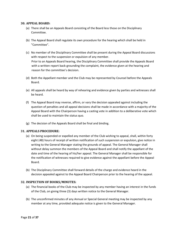# <span id="page-21-0"></span>**30. APPEAL BOARD:**

- (a) There shall be an Appeals Board consisting of the Board less those on the Disciplinary Committee.
- (b) The Appeal Board shall regulate its own procedure for the hearing which shall be held in "Committee".
- (c) No member of the Disciplinary Committee shall be present during the Appeal Board discussions with respect to the suspension or expulsion of any member. Prior to an Appeals Board hearing, the Disciplinary Committee shall provide the Appeals Board with a written report back-grounding the complaint, the evidence given at the hearing and reason for the committee's decision.
- (d) Both the Appellant member and the Club may be represented by Counsel before the Appeals Board.
- (e) All appeals shall be heard by way of rehearing and evidence given by parties and witnesses shall be heard.
- (f) The Appeal Board may reverse, affirm, or vary the decision appealed against including the question of penalties and all appeal decisions shall be made in accordance with a majority of the Appeal Board with the Chairperson having a casting vote in addition to a deliberative vote which shall be used to maintain the status quo.
- (g) The decision of the Appeals Board shall be final and binding.

# <span id="page-21-1"></span>**31. APPEALS PROCEDURE:**

- (a) On being suspended or expelled any member of the Club wishing to appeal, shall, within forty eight (48) hours of receipt of written notification of such suspension or expulsion, give notice in writing to the General Manager stating the grounds of appeal. The General Manager shall without delay summon the members of the Appeal Board and shall notify the appellant of the date and time of the hearing of his/her appeal. The General Manager shall be responsible for the notification of witnesses required to give evidence against the appellant before the Appeal Board.
- (b) The Disciplinary Committee shall forward details of the charge and evidence heard in the decision appealed against to the Appeal Board Chairperson prior to the hearing of the appeal.

# <span id="page-21-2"></span>**32. INSPECTION OF BOOKS/MINUTES:**

- (a) The financial books of the Club may be inspected by any member having an interest in the funds of the Club, on giving three (3) days written notice to the General Manager.
- (b) The unconfirmed minutes of any Annual or Special General meeting may be inspected by any member at any time, provided adequate notice is given to the General Manager.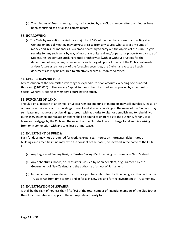(c) The minutes of Board meetings may be inspected by any Club member after the minutes have been confirmed as a true and correct record.

# <span id="page-22-0"></span>**33. BORROWING:**

(a) The Club, by resolution carried by a majority of 67% of the members present and voting at a General or Special Meeting may borrow or raise from any source whatsoever any sums of money and in such manner as is deemed necessary to carry out the objects of the Club. To give security for any such sums by way of mortgage of its real and/or personal property or by issue of Debentures, Debenture Stock Perpetual or otherwise (with or without Trustees for the debenture holders) or any other security and charged upon all or any of the Club's real assets and/or future assets for any of the foregoing securities, the Club shall execute all such documents as may be required to effectively secure all monies so raised.

#### <span id="page-22-1"></span>**34. SPECIAL EXPENDITURE:**

Any resolution of the committee involving the expenditure of an amount exceeding one hundred thousand (\$100,000) dollars on any Capital item must be submitted and approved by an Annual or Special General Meeting of members before having effect.

#### <span id="page-22-2"></span>**35. PURCHASE OF LAND:**

The Club on a decision of an Annual or Special General meeting of members may sell, purchase, lease, or otherwise acquire any land or buildings or erect and alter any buildings in the name of the Club and may sell, lease, mortgage or erect buildings thereon with authority to alter or demolish and to rebuild. No purchaser, assignee, mortgagee or tenant shall be bound to enquire as to the authority for any sale, lease, or mortgage by the Club and the receipt of the Club shall be a discharge for all monies arising from or in conjunction with any sale, lease or mortgage.

#### <span id="page-22-3"></span>**36. INVESTMENT OF FUNDS:**

Such funds as may not be required for working expenses, interest on mortgages, debentures or buildings and amenities fund may, with the consent of the Board, be invested in the name of the Club in:

- (a) Any Registered Trading Bank, or Trustee Savings Bank carrying on business in New Zealand.
- (b) Any debentures, bonds, or Treasury Bills issued by or on behalf of, or guaranteed by the Government of New Zealand and the authority of an Act of Parliament.
- (c) In the first mortgage, debenture or share purchase which for the time being is authorised by the Trustees Act from time to time and in force in New Zealand for the investment of Trust monies.

#### <span id="page-22-4"></span>**37. INVESTIGATION OF AFFAIRS:**

It shall be the right of not less than fifty (50) of the total number of financial members of the Club (other than Junior members) to apply to the appropriate authority for;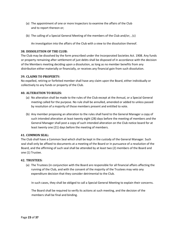- (a) The appointment of one or more Inspectors to examine the affairs of the Club and to report thereon or;
- (b) The calling of a Special General Meeting of the members of the Club and/or; , (c)

An investigation into the affairs of the Club with a view to the dissolution thereof.

# <span id="page-23-0"></span>**38. DISSOLUTION OF THE CLUB:**

The Club may be dissolved by the form prescribed under the Incorporated Societies Act. 1908. Any funds or property remaining after settlement of just debts shall be disposed of in accordance with the decision of the Members meeting deciding upon a dissolution, as long as no member benefits from any distribution either materially or financially, or receives any financial gain from such dissolution.

# <span id="page-23-1"></span>**39. CLAIMS TO PROPERTY:**

No expelled, retiring or forfeited member shall have any claim upon the Board, either individually or collectively to any funds or property of the Club.

# <span id="page-23-2"></span>**40. ALTERATION TO RULES:**

- (a) No alteration shall be made to the rules of the Club except at the Annual, or a Special General meeting called for the purpose. No rule shall be annulled, amended or added to unless passed by resolution of a majority of those members present and entitled to vote.
- (b) Any member proposing an alteration to the rules shall hand to the General Manager a copy of such intended alteration at least twenty eight (28) days before the meeting of members and the General Manager shall post a copy of such intended alteration on the Club notice board for at least twenty one (21) days before the meeting of members.

#### <span id="page-23-3"></span>**41. COMMON SEAL:**

The Club shall have a Common Seal which shall be kept in the custody of the General Manager. Such seal shall only be affixed to documents at a meeting of the Board or in pursuance of a resolution of the Board, and the affirming of such seal shall be attended by at least two (2) members of the Board and one (1) Trustee.

#### <span id="page-23-4"></span>**42. TRUSTEES:**

(a) The Trustees (in conjunction with the Board are responsible for all financial affairs affecting the running of the Club, and with the consent of the majority of the Trustees may veto any expenditure decision that they consider detrimental to the Club.

In such cases, they shall be obliged to call a Special General Meeting to explain their concerns.

The Board shall be required to verify its actions at such meeting, and the decision of the members shall be final and binding.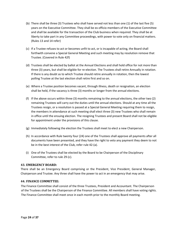- (b) There shall be three (3) Trustees who shall have served not less than one (1) of the last five (5) years on the Executive Committee. They shall be ex officio members of the Executive Committee and shall be available for the transaction of the Club business when required. They shall be at liberty to take part in any Committee proceedings, with power to vote only on financial matters. (Rules 13 and 14 refer)
- (c) If a Trustee refuses to act or becomes unfit to act, or is incapable of acting, the Board shall forthwith convene a Special General Meeting and such meeting may by resolution remove that Trustee. (Covered in Rule 42f)
- (d) Trustees shall be elected by ballot at the Annual Elections and shall hold office for not more than three (3) years, but shall be eligible for re-election. The Trustees shall retire Annually in rotation. If there is any doubt as to which Trustee should retire annually in rotation, then the lowest polling Trustee at the last election shall retire first and so on.
- (e) Where a Trustee position becomes vacant, through illness, death or resignation, an election shall be held, if the vacancy is three (3) months or longer from the annual elections.
- (f) If the above occurs within three (3) months remaining to the annual elections, the other two (2) remaining Trustees will carry out the duties until the annual elections. Should at any time all the Trustees resign, or a resolution is passed at a Special General Meeting requiring them to resign, the members in attendance at such meeting shall elect three (3) new Trustees who shall remain in office until the ensuing election. The resigning Trustees and present Board shall not be eligible for appointment under the provisions of this clause.
- (g) Immediately following the election the Trustees shall meet to elect a new Chairperson.
- (h) In accordance with Rule twenty four (24) one of the Trustees shall approve all payments after all documents have been presented, and they have the right to veto any payment they deem to not be in the best interest of the Club, refer rule 42-(a).
- (i) One of the Trustees shall be elected by the Board to be Chairperson of the Disciplinary Committee, refer to rule 29-(c).

#### <span id="page-24-0"></span>**43. EMERGENCY BOARD:**

There shall be an Emergency Board comprising or the President, Vice President, General Manager, Chairperson and Trustee. Any three shall have the power to act in an emergency that may arise.

#### <span id="page-24-1"></span>**44. FINANCE COMMITTEE:**

The Finance Committee shall consist of the three Trustees, President and Accountant. The Chairperson of the Trustees shall be the Chairperson of the Finance Committee. All members shall have voting rights. The Finance Committee shall meet once in each month prior to the monthly Board meeting.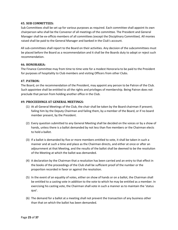# <span id="page-25-0"></span>**45. SUB COMMITTEES:**

Sub Committees shall be set up for various purposes as required. Each committee shall appoint its own chairperson who shall be the Convenor of all meetings of the committee. The President and General Manager shall be ex-officio members of all committees (except the Disciplinary Committee). All monies raised shall be paid to the General Manager and banked in the Club's account.

All sub-committees shall report to the Board on their activities. Any decision of the subcommittees must be placed before the Board as a recommendation and it shall be the Boards duty to adopt or reject such recommendation.

#### <span id="page-25-1"></span>**46. HONORARIA:**

The Finance Committee may from time to time vote for a modest Honoraria to be paid to the President for purposes of hospitality to Club members and visiting Officers from other Clubs.

#### <span id="page-25-2"></span>**47. PATRON:**

The Board, on the recommendation of the President, may appoint any person to be Patron of the Club. Such appointee shall be entitled to all the rights and privileges of membership. Being Patron does not preclude that person from holding another office in the Club.

#### <span id="page-25-3"></span>**49. PROCEEDINGS AT GENERAL MEETINGS:**

- (1) At all General Meetings of the Club, the chair shall be taken by the Board chairman if present; failing him by the Deputy Chairman and failing them, by a member of the Board, or if no board member present, by the President.
- (2) Every question submitted to any General Meeting shall be decided on the voices or by a show of hands, unless there is a ballot demanded by not less than five members or the Chairman elects to hold a ballot.
- (3) If a ballot is demanded by five or more members entitled to vote, it shall be taken in such a manner and at such a time and place as the Chairman directs, and either at once or after an adjournment at that Meeting, and the results of the ballot shall be deemed to be the resolution of the Meeting at which the ballot was demanded.
- (4) A declaration by the Chairman that a resolution has been carried and an entry to that effect in the books of the proceedings of the Club shall be sufficient proof of the number or the proportion recorded in favor or against the resolution.
- (5) In the event of an equality of votes, either on show of hands or on a ballot, the Chairman shall be entitled to a casting vote in addition to the vote to which he may be entitled as a member. In exercising his casting vote, the Chairman shall vote in such a manner as to maintain the 'status quo'.
- (6) The demand for a ballot at a meeting shall not prevent the transaction of any business other than that on which the ballot has been demanded.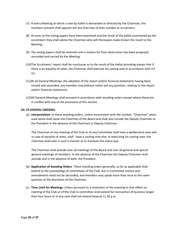- (7) A every Meeting at which a vote by ballot is demanded or directed by the Chairman, the members present shall appoint not less than two of their number as scrutineers.
- (8) As soon as the voting papers have been examined and the result of the ballot ascertained by the scrutineers they shall advise the Chairman who will thereupon make known the result to the Meeting.
- (9) The voting papers shall be retained until a motion for their destruction has been proposed, seconded and carried by the Meeting.
- (10)The Scrutineers' report shall be conclusive as to the result of the ballot providing always that if there is an equality of votes, the Chairman shall exercise his casting vote in accordance with 3:5 (c).
- (11)At all General Meetings, the adoption of the report and/or financial statements having been moved and seconded, any member may without notice ask any question, relating to the report and/or financial statements.
- (12)All General Meetings shall proceed in accordance with standing orders except where these are in conflict with any of the provisions of this section.

# <span id="page-26-0"></span>**50. STANDING ORDERS:**

(a) **Interpretation**: In these standing orders, unless inconsistent with the context- "Chairman" when used alone shall mean the Chairman of the Board and shall also include the Deputy Chairman or the President in the absence of the Chairman or Deputy Chairman.

The Chairman of any meeting of the Club or of any Committee shall have a deliberative vote and in case of equality of votes, shall  $\cdot$  have a casting vote also. In exercising his casting vote, the chairman shall vote in such a manner as to maintain the status quo.

The Chairman shall preside over all meetings of the Board and over all general and special general meetings of members. In the absence of the Chairman the Deputy Chairman shall preside and in the absence of both, the President.

- (b) **Application of Standing Orders**: These standing orders generally, so far as applicable shall extend to the proceedings of committees of the Club, but in Committee motion and amendments need not be seconded, and members may speak more than once to the same question at the discretion of the Chairman.
- (c) **Time Limit for Meetings**: Unless pursuant to a resolution of the meeting to that effect no meeting of the Club or of the Club in committee shall extend for transaction of business longer than four hours or in any case shall not extend beyond 11.30 p.m.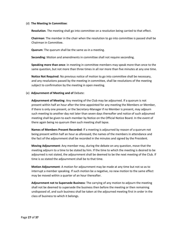#### (d) **The Meeting ln Committee**:

**Resolution**. The meeting shall go into committee on a resolution being carried to that effect.

**Chairman**: The member in the chair when the resolution to go into committee is passed shall be Chairman in Committee.

**Quorum**: The quorum shall be the same as-in a meeting.

**Seconding**: Motion and amendments in committee shall not require seconding.

**Speaking more than once**: in meeting in committee members may speak more than once to the same question, but not more than three times in all nor more than five minutes at any one time.

**Notice Not Required**: No previous notice of motion to.go into committee shall be necessary, and any resolutions passed by the meeting in committee, shall be resolutions of the meeting subject to confirmation by the meeting in open meeting.

#### (e) **Adjournment of Meeting and of** Debate:

**Adjournment of Meeting**: Any meeting of the Club may be adjourned. If a quorum is not present within half an hour after the time appointed for any meeting the Members or Member, if there is only one present, or the Secretary-Manager if no Member is present, may adjourn such meeting to another day not later than seven days thereafter and notice of such adjoumed meeting shall be given to each member by Notice on the Official Notice Board. In the event of there again being no quorum then such meeting shall lapse.

**Names of Members Present Recorded**: If a meeting is adjourned by reason of a quorum not being present within half an hour as aforesaid, the names of the members in attendance and the fact of the adjournment shall be recorded in the minutes and signed by the President.

**Moving Adjournment**: Any member may, during the debate on any question, move that the meeting adjourn to a time to be stated by him. If the time to which the meeting is desired to be adjourned is not stated, the adjournment shall be deemed to be the next meeting of the Club. If time is so stated the adjournment shall be to that time.

**Motion Adjournment**: A motion for adjournment may be made at any time but not so as to interrupt a member speaking. If such motion be a negative, no new motion to the same effect may be moved within a quarter of an hour thereafter.

**Adjournment not to Supersede Business**: The carrying of any motion to adjourn the meeting shall not be deemed to supersede the business then before the meeting or then remaining undisposed of, and such business shall be taken at the adjourned meeting first in order in the class of business to which it belongs.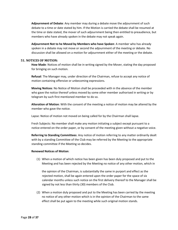**Adjournment of Debate**: Any member may during a debate move the adjournment of such debate to a time or date stated by him. If the Motion is carried the debate shall be resumed at the time or date stated, the mover of such adjournment being then entitled to preaudience, but members who have already spoken in the debate may not speak again.

**Adjournment Not to he Moved by Members who have Spoken**: A member who has already spoken in a debate may not move or second the adjournment of the meeting or debate. No discussion shall be allowed on a motion for adjournment either of the meeting or the debate.

#### <span id="page-28-0"></span>**51. NOTICES OF MOTION:**

**How Made**: Notices of motion shall be in writing signed by the Mover, stating the day proposed for bringing on such motion.

**Refusal**: The Manager may, under direction of the Chairman, refuse to accept any notice of motion containing offensive or unbecoming expressions.

**Moving Notices**: No Notice of Motion shall be proceeded with in the absence of the member who gave the notice thereof unless moved by some other member authorised in writing or by telegram by such first mentioned member to do so.

**Alteration of Motion**: With the consent of the meeting a notice of motion may be altered by the member who gave the notice.

Lapse: Notice of motion not moved on being called for by the Chairman shall lapse.

Fresh Subjects: No member shall make any motion initiating a subject except pursuant to a notice entered on the order paper, or by consent of the meeting given without a negative voice.

**Referring to Standing Committees**: Any notice of motion referring to any matter ordinarily dealt with by a standing Committee of the Club may be referred by the Meeting to the appropriate standing committee if the Meeting so decides.

#### **Renewed Notices of Motion**:

(1) When a motion of which notice has been given has been duly proposed and put to the Meeting and has been rejected by the Meeting no notice of any other motion, which in

the opinion of the Chairman, is substantially the same in purport and effect as the rejected motion, shall be again entered upon the order paper for the space of six calendar months unless such notice on the first delivery thereof to the Manager shall be signed by not less than thirty (30) members of the Club.

(2) When a motion duly proposed and put to the Meeting has been carried by the meeting no notice of any other motion which is in the opinion of the Chairman to the same effect shall be put again to the meeting while such original motion stands.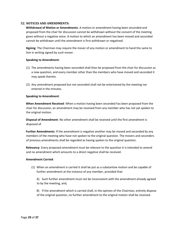# <span id="page-29-0"></span>**52. NOTICES AND AMENDMENTS:**

**Withdrawal of Motion or Amendments**: A motion or amendment having been seconded and proposed from the chair for discussion cannot be withdrawn without the consent of the meeting given without a negative voice. A motion to which an amendment has been moved and seconded cannot be withdrawn until the amendment is first withdrawn or negatived.

**Signing**: The Chairman may require the mover of any motion or amendment to hand the same to him in writing signed by such mover.

#### **Speaking to Amendment**:

- (1) The amendments having been seconded shall then be proposed from the chair for discussion as a new question, and every member other than the members who have moved and seconded it may speak thereto.
- (2) Any amendment proposed but not seconded shall not be entertained by the meeting nor entered in the minutes.

#### **Speaking to Amendment**:

**When Amendment Received**: When a motion having been seconded has been proposed from the chair for discussion, an amendment may be received from any member who has not yet spoken to the original motion.

**Disposal of Amendment**: No other amendment shall be received until the first amendment is disposed of.

**Further Amendments**: If the amendment is negative another may be moved and seconded by any members of the meeting who have not spoken to the original question. The movers and seconders of previous amendments shall be regarded as having spoken to the original question.

**Relevancy**: Every proposed amendment must be relevant to the question it is intended to amend and no amendment which amounts to a direct negative shall be received.

#### **Amendment Carried**:

(1) When an amendment is carried it shall be put as a substantive motion and be capable of further amendment at the instance of any member, provided that:

A) Such further amendment must not be inconsistent with the amendment already agreed to by the meeting, and,

B) If the amendment which is carried shall, in the opinion of the Chairman, entirely dispose of the original question, no further amendment to the original motion shall be received.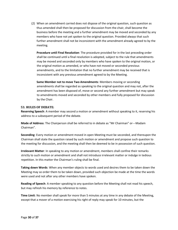(2) When an amendment carried does not dispose of the original question, such question as thus amended shall then be proposed for discussion from the chair, shall become the business before the meeting and a further amendment may be moved and seconded by any members who have not yet spoken to the original question. Provided always that such further amendment shall not be inconsistent with the amendment already agreed to by the meeting.

**Procedure until Final Resolution**: The procedure provided for in the last preceding order shall be continued until a final resolution is adopted, subject to the rule that amendments may be moved and seconded only by members who have spoken to the original motion, or the original motion as amended, or who have not moved or seconded previous amendments, and to the limitation that no further amendment may be received that is inconsistent with any previous amendment agreed to by the Meeting.

**Same Member not to move Two Amendments**: Members moving or seconding amendments shall be regarded as speaking to the original question and may not, after the amendment has been disposed of, move or second any further amendment but may speak to amendments moved and seconded by other members and fully proposed for discussion by the Chair.

# <span id="page-30-0"></span>**53. RULES OF DEBATE:**

**Reserving Speech**: A member may second a motion or amendment without speaking to it, reserving his address to a subsequent period of the debate.

**Mode of Address**: The Chairperson shall be referred to in debate as "Mr Chairman" or---Madam Chairman".

**Seconding**: Every motion or amendment moved in open Meeting must be seconded, and thereupon the Chairman shall state the question raised by such motion or amendment and propose such question to the meeting for discussion, and the meeting shall then be deemed to be in possession of such question.

**Irrelevant Matter**: In speaking to any motion or amendment, members shall confine their remarks strictly to such motion or amendment and shall not introduce irrelevant matter or indulge in tedious repetition. In this matter the Chairman's ruling shall be final.

**Taking down Words**: When any member objects to words used and desires them to be taken down the Meeting may so order them to be taken down, provided such objection be made at the time the words were used and not after any other members have spoken.

**Reading of Speech**: A member speaking to any question before the Meeting shall not read his speech, but may refresh his memory by reference to notes.

**Time Limit**: No member shall speak for more than 5 minutes at any time in any debate of the Meeting, except that a mover of a motion exercising his right of reply may speak for 10 minutes, but the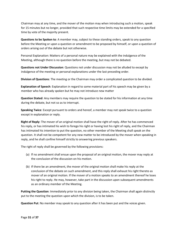Chairman may at any time, and the mover of the motion may when introducing such a motion, speak for 15 minutes but no longer, provided that such respective time limits may be extended for a specified time by vote of the majority present.

**Questions to be Spoken to**: A member may, subject to these standing orders, speak to any question before the Meeting or upon a question or amendment to be proposed by himself, or upon a question of orders arising out of the debate but not otherwise.

Personal Explanation: Matters of a personal nature may be explained with the indulgence of the Meeting, although there is no question before the meeting, but may not be debated.

**Questions not Under Discussion**: Questions not under discussion may not be alluded to except by indulgence of the meeting or personal explanations under the last preceding order.

**Division of Questions**: The meeting or the Chairman may order a complicated question to be divided.

**Explanation of Speech**: Explanation in regard to some material part of his speech may be given by a member who has already spoken but he may not introduce new matter

**Question Stated**: Any members may require the question to be stated for his information at any time during the debate, but not so as to interrupt.

**Speaking Twice**: Except pursuant to orders and hereof, a member may not speak twice to a question except in explanation or reply.

**Right of Reply**: The mover of an original motion shall have the right of reply. After he has commenced his reply, or has intimated his wish to forego his right or having lost his right of reply, and the Chairman has intimated his intention to put the question, no other member of the Meeting shall speak on the question. It shall not be competent for any new matter to be introduced by the mover when speaking in reply, and he shall confine himself strictly to answering previous speakers.

The right of reply shall be governed by the following provisions:

- (a) lf no amendment shall ensue upon the proposal of an original motion, the mover may reply at the conclusion of the discussion on his motion.
- (b) If there be an amendment, the mover of the original motion shall make his reply at the conclusion of the debate on such amendment, and this reply shall exhaust his right thereto as mover of an original motion. If the mover of a motion speaks to an amendment thereof he loses his right to reply. He may, however, take part in the discussion upon subsequent amendments as an ordinary member of the Meeting.

**Putting the Question**: Immediately prior to any division being taken, the Chairman shall again distinctly put to the meeting the question upon which the division, is to be taken.

**Question Put**: No member may speak to any question after it has been put and the voices given.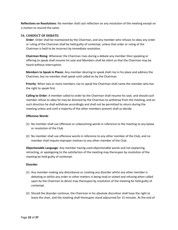**Reflections on Resolutions**: No member shall cast reflection on any resolution of the meeting except on a motion to rescind the same.

#### <span id="page-32-0"></span>**54. CONDUCT OF DEBATE:**

**Order**: Order shall be maintained by the Chairman, and any member who refuses to obey any order or ruling of the Chairman shall be held guilty of contempt, unless that order or ruling of the Chairman is held to be incorrect by immediate resolution.

**Chairman Rising**: Whenever the Chairman rises during a debate any member then speaking or offering to speak shall resume his seat and Members shall be silent so that the Chairman may be heard without interruption.

**Members to Speak in Places**: Any member desiring to speak shall rise in his place and address the Chairman, but no member shall speak until called on by the Chairman.

**Priority**: When two or more members rise to speak the Chairman shall name the member who has the right to speak first.

**Calling to Order**: A member called to order by the Chairman shall resume his seat, and should such member refuse to obey he may be directed by the Chairman to withdraw from the meeting, and on such direction he shall withdraw accordingly and shall not be permitted to return during the meeting unless and until a majority of the other members present shall so decide.

#### **Offensive Words**:

- (1) No member shall use offensive or unbecoming words in reference to the meeting to any bylaw or resolution of the Club.
- (2) No member shall use offensive words in reference to any other member of the Club, and no member shall impute improper motives to any other member of the Club.

**Objectionable Language**: Any member having used objectionable words and not explaining, retracting, or apologising to the satisfaction of the meeting may thereupon by resolution of the meeting be held guilty of contempt.

#### **Disorder**:

- (1) Any member making any disturbance or creating any disorder whilst any other member is debating or whilst any order or other matters is being read or stated and refusing when called upon by the Chairman to desist may thereupon by resolution of the meeting be held guilty of contempt.
- (2) Should the disorder continue, the Chairman in his absolute discretion shall have the right to leave the chair, and the meeting shall thereupon stand adjourned for 15 minutes. At the end of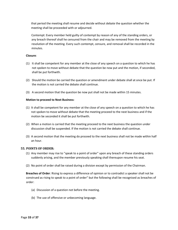that period the meeting shall resume and decide without debate the question whether the meeting shall be proceeded with or adjourned.

Contempt: Every member held guilty of contempt by reason of any of the standing orders, or any breach thereof shall he censured from the chair and may be removed from the meeting by resolution of the meeting. Every such contempt, censure, and removal shall be recorded in the minutes.

#### **Closure**:

- (1) It shall be competent for any member at the close of any speech on a question to which he has not spoken to move without debate that the question be now put and the motion, if seconded, shall be put forthwith.
- (2) Should the motion be carried the question or amendment under debate shall at once be put. If the motion is not carried the debate shall continue.
- (3) A second motion that the question be now put shall not be made within 15 minutes.

#### **Motion to proceed to Next Business**:

- (1) It shall be competent for any member at the close of any speech on a question to which he has not spoken to move without debate that the meeting proceed to the next business and if the motion be seconded it shall be put forthwith.
- (2) When a motion is carried that the meeting proceed to the next business the question under discussion shall be suspended. If the motion is not carried the debate shall continue.
- (3) A second motion that the meeting do proceed to the next business shall not be made within half an hour.

#### <span id="page-33-0"></span>**55. POINTS OF ORDER:**

- (1) Any member may rise to "speak to a point of order" upon any breach of these standing orders suddenly arising, and the member previously speaking shall thereupon resume his seat.
- (2) No point of order shall be raised during a division except by permission of the Chairman.

**Breaches of Order**: Rising to express a difference of opinion or to contradict a speaker shall not be construed as rising to speak to a point of order" but the following shall be recognised as breaches of order:

- (a) Discussion of a question not before the meeting.
- (b) The use of offensive or unbecoming language.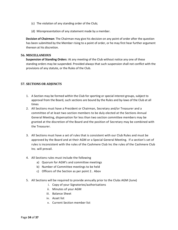- (c) The violation of any standing order of the Club;
- (d) Misrepresentation of any statement made by a member.

**Decision of Chairman**: The Chairman may give his decision on any point of order after the question has been submitted by the Member rising to a point of order, or he may first hear further argument thereon at his discretion.

#### <span id="page-34-0"></span>**56. MISCELLANEOUS**

**Suspension of Standing Orders**: At any meeting of the Club without notice any one of these standing orders may be suspended. Provided always that such suspension shall not conflict with the provisions of any statute, or the Rules of the Club.

# **57. SECTIONS OR ADJUNCTS**

- 1. A Section may be formed within the Club for sporting or special interest groups, subject to approval from the Board, such sections are bound by the Rules and by-laws of the Club at all times
- 2. All Sections must have a President or Chairman, Secretary and/or Treasurer and a committee of at least two section members to be duly elected at the Sections Annual General Meeting, dispensation for less than two section committee members may be granted at the discretion of the Board and the position of Secretary may be combined with the Treasurer.
- 3. All Sections must have a set of rules that is consistent with our Club Rules and must be approved by the Board and at their AGM or a Special General Meeting. If a section's set of rules is inconsistent with the rules of the Cashmere Club Inc the rules of the Cashmere Club Inc. will prevail.
- 4. All Sections rules must include the following
	- a) Quorum for AGM's and committee meetings
	- b) Number of Committee meetings to be held
	- c) Officers of the Section as per point 2.. Abov
- 5. All Sections will be required to provide annually prior to the Clubs AGM (June)
	- i. Copy of your Signatories/authorisations
	- ii. Minutes of your AGM
	- iii. Balance Sheet
	- iv. Asset list
	- v. Current Section member list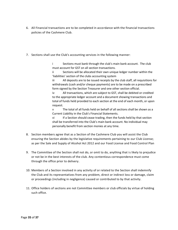- 6. All Financial transactions are to be completed in accordance with the financial transactions policies of the Cashmere Club.
- 7. Sections shall use the Club's accounting services in the following manner:

i Sections must bank through the club's main bank account. The club must account for GST on all section transactions.

ii Sections will be allocated their own unique ledger number within the 'liabilities' section of the clubs accounting system

iii All deposits are to be issued receipts by the club staff, all requisitions for withdrawals (cash and/or cheque payments) are to be made on a prescribed form signed by the Section Treasurer and one other section official.

iv All transactions, which are subject to GST, shall be debited or credited to the appropriate ledger account and a document showing transactions and total of funds held provided to each section at the end of each month, or upon request.

v The total of all funds held on behalf of all sections shall be shown as a Current Liability in the Club's Financial Statements.

vi If a Section should cease trading, then the funds held by that section shall be transferred into the Club's main bank account. No individual may personally benefit from section monies at any time.

- 8. Section members agree that as a Section of the Cashmere Club you will assist the Club ensuring the Section abides by the legislative requirements pertaining to our Club License; as per the Sale and Supply of Alcohol Act 2012 and our Food License and Food Control Plan
- 9. The Committee of the Section shall not do, or omit to do, anything that is likely to prejudice or not be in the best interests of the club. Any contentious correspondence must come through the office prior to delivery.
- 10. Members of a Section involved in any activity of or related to the Section shall indemnify the Club and its representatives from any problem, direct or indirect loss or damage, claim or proceedings (including in negligence) caused or contributed to by that activity.
- 11. Office holders of sections are not Committee members or club officials by virtue of holding such office.